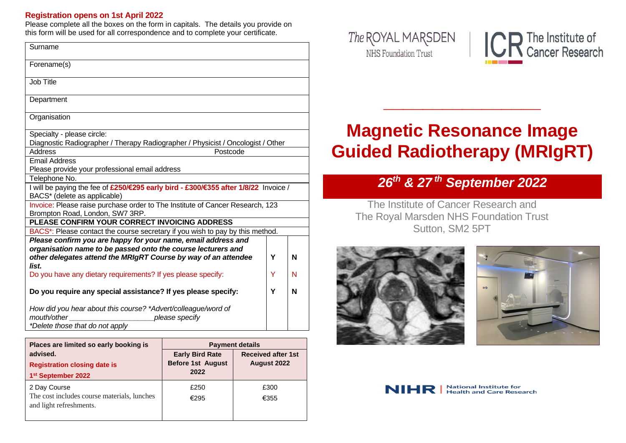#### **Registration opens on 1st April 2022**

Please complete all the boxes on the form in capitals. The details you provide on this form will be used for all correspondence and to complete your certificate.

| Surname                                                                                                                           |   |   |
|-----------------------------------------------------------------------------------------------------------------------------------|---|---|
| Forename(s)                                                                                                                       |   |   |
| Job Title                                                                                                                         |   |   |
| Department                                                                                                                        |   |   |
| Organisation                                                                                                                      |   |   |
| Specialty - please circle:<br>Diagnostic Radiographer / Therapy Radiographer / Physicist / Oncologist / Other                     |   |   |
| <b>Address</b><br>Postcode                                                                                                        |   |   |
| <b>Email Address</b>                                                                                                              |   |   |
| Please provide your professional email address                                                                                    |   |   |
| Telephone No.                                                                                                                     |   |   |
| I will be paying the fee of £250/€295 early bird - £300/€355 after 1/8/22 Invoice /<br>BACS* (delete as applicable)               |   |   |
| Invoice: Please raise purchase order to The Institute of Cancer Research, 123<br>Brompton Road, London, SW7 3RP.                  |   |   |
| PLEASE CONFIRM YOUR CORRECT INVOICING ADDRESS                                                                                     |   |   |
| BACS*: Please contact the course secretary if you wish to pay by this method.                                                     |   |   |
| Please confirm you are happy for your name, email address and                                                                     |   |   |
| organisation name to be passed onto the course lecturers and                                                                      |   |   |
| other delegates attend the MRIgRT Course by way of an attendee<br>list.                                                           | Y | N |
| Do you have any dietary requirements? If yes please specify:                                                                      | Y | N |
| Do you require any special assistance? If yes please specify:                                                                     |   | N |
| How did you hear about this course? *Advert/colleague/word of<br>mouth/other<br>please specify<br>*Delete those that do not apply |   |   |

| Places are limited so early booking is      | <b>Payment details</b>   |                           |  |
|---------------------------------------------|--------------------------|---------------------------|--|
| advised.                                    | <b>Early Bird Rate</b>   | <b>Received after 1st</b> |  |
| <b>Registration closing date is</b>         | <b>Before 1st August</b> | August 2022               |  |
| 1st September 2022                          | 2022                     |                           |  |
| 2 Day Course                                | £250                     | £300                      |  |
| The cost includes course materials, lunches | €295                     | €355                      |  |
| and light refreshments.                     |                          |                           |  |
|                                             |                          |                           |  |





# **Magnetic Resonance Image Guided Radiotherapy (MRIgRT)**

**\_\_\_\_\_\_\_\_\_\_\_\_\_\_\_\_**

# *26 th & 27 th September 2022*

The Institute of Cancer Research and The Royal Marsden NHS Foundation Trust Sutton, SM2 5PT





**National Institute for** NIHR **Health and Care Research**